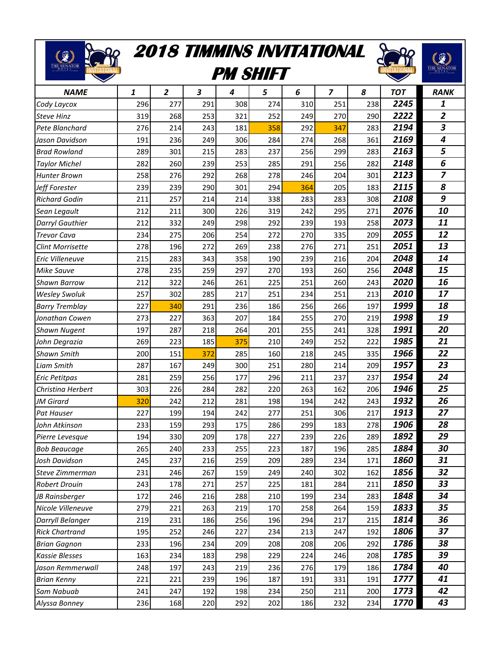## **2018 TIMMINS INVITATIONAL**

E SENATOR DE

88

## **PM SHIFT**



| <b>NAME</b>             | 1   | $\overline{2}$ | 3   | 4   | 5   | 6   | 7   | 8   | <b>TOT</b> | <b>RANK</b>             |
|-------------------------|-----|----------------|-----|-----|-----|-----|-----|-----|------------|-------------------------|
| Cody Laycox             | 296 | 277            | 291 | 308 | 274 | 310 | 251 | 238 | 2245       | 1                       |
| <b>Steve Hinz</b>       | 319 | 268            | 253 | 321 | 252 | 249 | 270 | 290 | 2222       | $\overline{2}$          |
| Pete Blanchard          | 276 | 214            | 243 | 181 | 358 | 292 | 347 | 283 | 2194       | 3                       |
| Jason Davidson          | 191 | 236            | 249 | 306 | 284 | 274 | 268 | 361 | 2169       | $\overline{\mathbf{4}}$ |
| <b>Brad Rowland</b>     | 289 | 301            | 215 | 283 | 237 | 256 | 299 | 283 | 2163       | 5                       |
| <b>Taylor Michel</b>    | 282 | 260            | 239 | 253 | 285 | 291 | 256 | 282 | 2148       | 6                       |
| <b>Hunter Brown</b>     | 258 | 276            | 292 | 268 | 278 | 246 | 204 | 301 | 2123       | $\overline{z}$          |
| Jeff Forester           | 239 | 239            | 290 | 301 | 294 | 364 | 205 | 183 | 2115       | 8                       |
| <b>Richard Godin</b>    | 211 | 257            | 214 | 214 | 338 | 283 | 283 | 308 | 2108       | 9                       |
| Sean Legault            | 212 | 211            | 300 | 226 | 319 | 242 | 295 | 271 | 2076       | 10                      |
| Darryl Gauthier         | 212 | 332            | 249 | 298 | 292 | 239 | 193 | 258 | 2073       | 11                      |
| <b>Trevor Cava</b>      | 234 | 275            | 206 | 254 | 272 | 270 | 335 | 209 | 2055       | 12                      |
| <b>Clint Morrisette</b> | 278 | 196            | 272 | 269 | 238 | 276 | 271 | 251 | 2051       | 13                      |
| Eric Villeneuve         | 215 | 283            | 343 | 358 | 190 | 239 | 216 | 204 | 2048       | 14                      |
| Mike Sauve              | 278 | 235            | 259 | 297 | 270 | 193 | 260 | 256 | 2048       | 15                      |
| <b>Shawn Barrow</b>     | 212 | 322            | 246 | 261 | 225 | 251 | 260 | 243 | 2020       | 16                      |
| <b>Wesley Swoluk</b>    | 257 | 302            | 285 | 217 | 251 | 234 | 251 | 213 | 2010       | 17                      |
| <b>Barry Tremblay</b>   | 227 | 340            | 291 | 236 | 186 | 256 | 266 | 197 | 1999       | 18                      |
| Jonathan Cowen          | 273 | 227            | 363 | 207 | 184 | 255 | 270 | 219 | 1998       | 19                      |
| <b>Shawn Nugent</b>     | 197 | 287            | 218 | 264 | 201 | 255 | 241 | 328 | 1991       | 20                      |
| John Degrazia           | 269 | 223            | 185 | 375 | 210 | 249 | 252 | 222 | 1985       | 21                      |
| <b>Shawn Smith</b>      | 200 | 151            | 372 | 285 | 160 | 218 | 245 | 335 | 1966       | 22                      |
| <b>Liam Smith</b>       | 287 | 167            | 249 | 300 | 251 | 280 | 214 | 209 | 1957       | 23                      |
| <b>Eric Petitpas</b>    | 281 | 259            | 256 | 177 | 296 | 211 | 237 | 237 | 1954       | 24                      |
| Christina Herbert       | 303 | 226            | 284 | 282 | 220 | 263 | 162 | 206 | 1946       | 25                      |
| JM Girard               | 320 | 242            | 212 | 281 | 198 | 194 | 242 | 243 | 1932       | 26                      |
| Pat Hauser              | 227 | 199            | 194 | 242 | 277 | 251 | 306 | 217 | 1913       | 27                      |
| John Atkinson           | 233 | 159            | 293 | 175 | 286 | 299 | 183 | 278 | 1906       | 28                      |
| Pierre Levesque         | 194 | 330            | 209 | 178 | 227 | 239 | 226 | 289 | 1892       | 29                      |
| <b>Bob Beaucage</b>     | 265 | 240            | 233 | 255 | 223 | 187 | 196 | 285 | 1884       | 30                      |
| Josh Davidson           | 245 | 237            | 216 | 259 | 209 | 289 | 234 | 171 | 1860       | 31                      |
| Steve Zimmerman         | 231 | 246            | 267 | 159 | 249 | 240 | 302 | 162 | 1856       | 32                      |
| <b>Robert Drouin</b>    | 243 | 178            | 271 | 257 | 225 | 181 | 284 | 211 | 1850       | 33                      |
| JB Rainsberger          | 172 | 246            | 216 | 288 | 210 | 199 | 234 | 283 | 1848       | 34                      |
| Nicole Villeneuve       | 279 | 221            | 263 | 219 | 170 | 258 | 264 | 159 | 1833       | 35                      |
| Darryll Belanger        | 219 | 231            | 186 | 256 | 196 | 294 | 217 | 215 | 1814       | 36                      |
| <b>Rick Chartrand</b>   | 195 | 252            | 246 | 227 | 234 | 213 | 247 | 192 | 1806       | 37                      |
| <b>Brian Gagnon</b>     | 233 | 196            | 234 | 209 | 208 | 208 | 206 | 292 | 1786       | 38                      |
| <b>Kassie Blesses</b>   | 163 | 234            | 183 | 298 | 229 | 224 | 246 | 208 | 1785       | 39                      |
| Jason Remmerwall        | 248 | 197            | 243 | 219 | 236 | 276 | 179 | 186 | 1784       | 40                      |
| <b>Brian Kenny</b>      | 221 | 221            | 239 | 196 | 187 | 191 | 331 | 191 | 1777       | 41                      |
| Sam Nabuab              | 241 | 247            | 192 | 198 | 234 | 250 | 211 | 200 | 1773       | 42                      |
| Alyssa Bonney           | 236 | 168            | 220 | 292 | 202 | 186 | 232 | 234 | 1770       | 43                      |